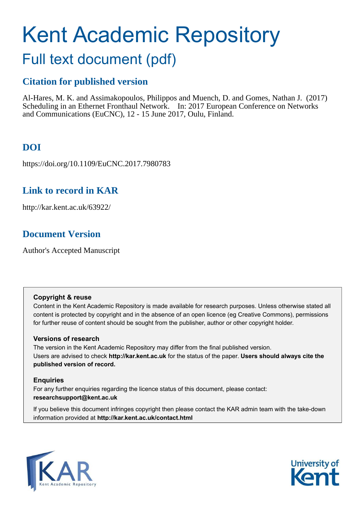# Kent Academic Repository

## Full text document (pdf)

### **Citation for published version**

Al-Hares, M. K. and Assimakopoulos, Philippos and Muench, D. and Gomes, Nathan J. (2017) Scheduling in an Ethernet Fronthaul Network. In: 2017 European Conference on Networks and Communications (EuCNC), 12 - 15 June 2017, Oulu, Finland.

## **DOI**

https://doi.org/10.1109/EuCNC.2017.7980783

## **Link to record in KAR**

http://kar.kent.ac.uk/63922/

## **Document Version**

Author's Accepted Manuscript

#### **Copyright & reuse**

Content in the Kent Academic Repository is made available for research purposes. Unless otherwise stated all content is protected by copyright and in the absence of an open licence (eg Creative Commons), permissions for further reuse of content should be sought from the publisher, author or other copyright holder.

#### **Versions of research**

The version in the Kent Academic Repository may differ from the final published version. Users are advised to check **http://kar.kent.ac.uk** for the status of the paper. **Users should always cite the published version of record.**

#### **Enquiries**

For any further enquiries regarding the licence status of this document, please contact: **researchsupport@kent.ac.uk**

If you believe this document infringes copyright then please contact the KAR admin team with the take-down information provided at **http://kar.kent.ac.uk/contact.html**



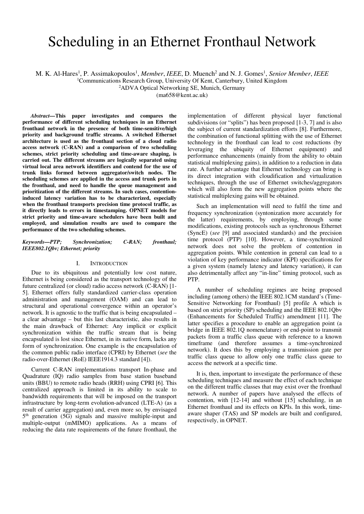## Scheduling in an Ethernet Fronthaul Network

M. K. Al-Hares<sup>1</sup>, P. Assimakopoulos<sup>1</sup>, Member, *IEEE*, D. Muench<sup>2</sup> and N. J. Gomes<sup>1</sup>, Senior Member, IEEE

<sup>1</sup>Communications Research Group, University Of Kent, Canterbury, United Kingdom

<sup>2</sup>ADVA Optical Networking SE, Munich, Germany

(ma658@kent.ac.uk)

*Abstract—***This paper investigates and compares the performance of different scheduling techniques in an Ethernet fronthaul network in the presence of both time-sensitive/high priority and background traffic streams. A switched Ethernet architecture is used as the fronthaul section of a cloud radio access network (C-RAN) and a comparison of two scheduling schemes, strict priority scheduling and time-aware shaping, is carried out. The different streams are logically separated using virtual local area network identifiers and contend for the use of trunk links formed between aggregator/switch nodes. The scheduling schemes are applied in the access and trunk ports in the fronthaul, and need to handle the queue management and prioritization of the different streams. In such cases, contentioninduced latency variation has to be characterized, especially when the fronthaul transports precision time protocol traffic, as it directly leads to errors in timestamping. OPNET models for strict priority and time-aware schedulers have been built and employed, and simulation results are used to compare the performance of the two scheduling schemes.**

*Keywords—PTP; Synchronization; C-RAN; fronthaul; IEEE802.1Qbv; Ethernet; priority* 

#### I. INTRODUCTION

Due to its ubiquitous and potentially low cost nature, Ethernet is being considered as the transport technology of the future centralized (or cloud) radio access network (C-RAN) [1- 5]. Ethernet offers fully standardized carrier-class operation administration and management (OAM) and can lead to structural and operational convergence within an operator's network. It is agnostic to the traffic that is being encapsulated – a clear advantage – but this last characteristic, also results in the main drawback of Ethernet: Any implicit or explicit synchronization within the traffic stream that is being encapsulated is lost since Ethernet, in its native form, lacks any form of synchronization. One example is the encapsulation of the common public radio interface (CPRI) by Ethernet (*see* the radio-over-Ethernet (RoE) IEEE1914.3 standard [4]).

Current C-RAN implementations transport In-phase and Quadrature (IQ) radio samples from base station baseband units (BBU) to remote radio heads (RRH) using CPRI [6]. This centralized approach is limited in its ability to scale to bandwidth requirements that will be imposed on the transport infrastructure by long-term evolution-advanced (LTE-A) (as a result of carrier aggregation) and, even more so, by envisaged 5 th generation (5G) signals and massive multiple-input and multiple-output (mMIMO) applications. As a means of reducing the data rate requirements of the future fronthaul, the

implementation of different physical layer functional subdivisions (or "splits") has been proposed [1-3, 7] and is also the subject of current standardization efforts [8]. Furthermore, the combination of functional splitting with the use of Ethernet technology in the fronthaul can lead to cost reductions (by leveraging the ubiquity of Ethernet equipment) and performance enhancements (mainly from the ability to obtain statistical multiplexing gains), in addition to a reduction in data rate. A further advantage that Ethernet technology can bring is its direct integration with cloudification and virtualization techniques, through the use of Ethernet switches/aggregators which will also form the new aggregation points where the statistical multiplexing gains will be obtained.

Such an implementation will need to fulfil the time and frequency synchronization (syntonization more accurately for the latter) requirements, by employing, through some modifications, existing protocols such as synchronous Ethernet (SyncE) (*see* [9] and associated standards) and the precision time protocol (PTP) [10]. However, a time-synchronized network does not solve the problem of contention in aggregation points. While contention in general can lead to a violation of key performance indicator (KPI) specifications for a given system (namely latency and latency variation), it can also detrimentally affect any "in-line" timing protocol, such as PTP.

A number of scheduling regimes are being proposed including (among others) the IEEE 802.1CM standard's (Time-Sensitive Networking for Fronthaul) [5] profile A which is based on strict priority (SP) scheduling and the IEEE 802.1Qbv (Enhancements for Scheduled Traffic) amendment [11]. The latter specifies a procedure to enable an aggregation point (a bridge in IEEE 802.1Q nomenclature) or end-point to transmit packets from a traffic class queue with reference to a known timeframe (and therefore assumes a time-synchronized network). It does this by employing a transmission gate per traffic class queue to allow only one traffic class queue to access the network at a specific time.

It is, then, important to investigate the performance of these scheduling techniques and measure the effect of each technique on the different traffic classes that may exist over the fronthaul network. A number of papers have analysed the effects of contention, with [12-14] and without [15] scheduling, in an Ethernet fronthaul and its effects on KPIs. In this work, timeaware shaper (TAS) and SP models are built and configured, respectively, in OPNET.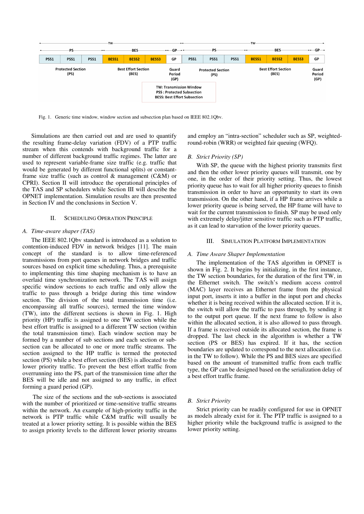

Fig. 1. Generic time window, window section and subsection plan based on IEEE 802.1Qbv.

Simulations are then carried out and are used to quantify the resulting frame-delay variation (FDV) of a PTP traffic stream when this contends with background traffic for a number of different background traffic regimes. The latter are used to represent variable-frame size traffic (e.g. traffic that would be generated by different functional splits) or constantframe size traffic (such as control & management (C&M) or CPRI). Section II will introduce the operational principles of the TAS and SP schedulers while Section III will describe the OPNET implementation. Simulation results are then presented in Section IV and the conclusions in Section V.

#### II. SCHEDULING OPERATION PRINCIPLE

#### *A. Time-aware shaper (TAS)*

The IEEE 802.1Qbv standard is introduced as a solution to contention-induced FDV in network bridges [11]. The main concept of the standard is to allow time-referenced transmissions from port queues in network bridges and traffic sources based on explicit time scheduling. Thus, a prerequisite to implementing this time shaping mechanism is to have an overlaid time synchronization network. The TAS will assign specific window sections to each traffic and only allow the traffic to pass through a bridge during this time window section. The division of the total transmission time (i.e. encompassing all traffic sources), termed the time window (TW), into the different sections is shown in Fig. 1. High priority (HP) traffic is assigned to one TW section while the best effort traffic is assigned to a different TW section (within the total transmission time). Each window section may be formed by a number of sub sections and each section or subsection can be allocated to one or more traffic streams. The section assigned to the HP traffic is termed the protected section (PS) while a best effort section (BES) is allocated to the lower priority traffic. To prevent the best effort traffic from overrunning into the PS, part of the transmission time after the BES will be idle and not assigned to any traffic, in effect forming a guard period (GP).

 The size of the sections and the sub-sections is associated with the number of prioritized or time-sensitive traffic streams within the network. An example of high-priority traffic in the network is PTP traffic while C&M traffic will usually be treated at a lower priority setting. It is possible within the BES to assign priority levels to the different lower priority streams

and employ an "intra-section" scheduler such as SP, weightedround-robin (WRR) or weighted fair queuing (WFQ).

#### *B. Strict Priority (SP)*

With SP, the queue with the highest priority transmits first and then the other lower priority queues will transmit, one by one, in the order of their priority setting. Thus, the lowest priority queue has to wait for all higher priority queues to finish transmission in order to have an opportunity to start its own transmission. On the other hand, if a HP frame arrives while a lower priority queue is being served, the HP frame will have to wait for the current transmission to finish. SP may be used only with extremely delay/jitter sensitive traffic such as PTP traffic, as it can lead to starvation of the lower priority queues.

#### III. SIMULATION PLATFORM IMPLEMENTATION

#### *A. Time Aware Shaper Implementation*

The implementation of the TAS algorithm in OPNET is shown in Fig. 2. It begins by initializing, in the first instance, the TW section boundaries, for the duration of the first TW, in the Ethernet switch. The switch's medium access control (MAC) layer receives an Ethernet frame from the physical input port, inserts it into a buffer in the input port and checks whether it is being received within the allocated section. If it is, the switch will allow the traffic to pass through, by sending it to the output port queue. If the next frame to follow is also within the allocated section, it is also allowed to pass through. If a frame is received outside its allocated section, the frame is dropped. The last check in the algorithm is whether a TW section (PS or BES) has expired. If it has, the section boundaries are updated to correspond to the next allocation (i.e. in the TW to follow). While the PS and BES sizes are specified based on the amount of transmitted traffic from each traffic type, the GP can be designed based on the serialization delay of a best effort traffic frame.

#### *B. Strict Priority*

Strict priority can be readily configured for use in OPNET as models already exist for it. The PTP traffic is assigned to a higher priority while the background traffic is assigned to the lower priority setting.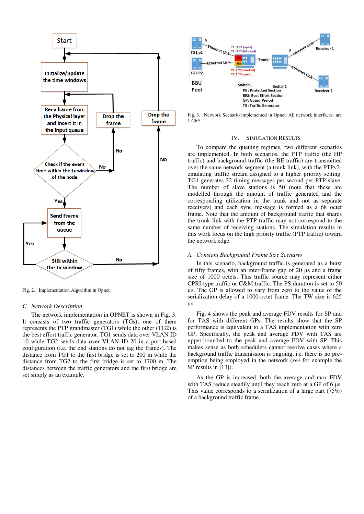

Fig. 2. Implementation Algorithm in Opnet.

#### *C. Network Description*

The network implementation in OPNET is shown in Fig. 3. It consists of two traffic generators (TGs); one of them represents the PTP grandmaster (TG1) while the other (TG2) is the best effort traffic generator. TG1 sends data over VLAN ID 10 while TG2 sends data over VLAN ID 20 in a port-based configuration (i.e. the end stations do not tag the frames). The distance from TG1 to the first bridge is set to 200 m while the distance from TG2 to the first bridge is set to 1700 m. The distances between the traffic generators and the first bridge are set simply as an example.



Fig. 3. Network Scenario implemented in Opnet. All network interfaces are  $1 \overline{G}$ <sub>b</sub>E.

#### IV. SIMULATION RESULTS

To compare the queuing regimes, two different scenarios are implemented. In both scenarios, the PTP traffic (the HP traffic) and background traffic (the BE traffic) are transmitted over the same network segment (a trunk link), with the PTPv2 emulating traffic stream assigned to a higher priority setting. TG1 generates 32 timing messages per second per PTP slave. The number of slave stations is 50 (note that these are modelled through the amount of traffic generated and the corresponding utilization in the trunk and not as separate receivers) and each sync message is formed as a 68 octet frame. Note that the amount of background traffic that shares the trunk link with the PTP traffic may not correspond to the same number of receiving stations. The simulation results in this work focus on the high priority traffic (PTP traffic) toward the network edge.

#### *A. Constant Background Frame Size Scenario*

In this scenario, background traffic is generated as a burst of fifty frames, with an inter-frame gap of  $20 \mu s$  and a frame size of 1000 octets. This traffic source may represent either CPRI-type traffic or C&M traffic. The PS duration is set to 50 µs. The GP is allowed to vary from zero to the value of the serialization delay of a 1000-octet frame. The TW size is 625 µs

Fig. 4 shows the peak and average FDV results for SP and for TAS with different GPs. The results show that the SP performance is equivalent to a TAS implementation with zero GP. Specifically, the peak and average FDV with TAS are upper-bounded to the peak and average FDV with SP. This makes sense as both schedulers cannot resolve cases where a background traffic transmission is ongoing, i.e. there is no preemption being employed in the network (*see* for example the SP results in [13]).

As the GP is increased, both the average and max FDV with TAS reduce steadily until they reach zero at a GP of  $6 \mu s$ . This value corresponds to a serialization of a large part (75%) of a background traffic frame.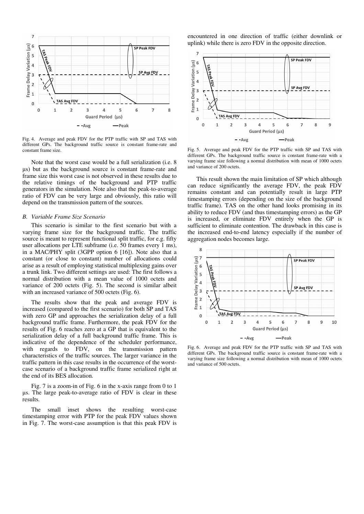

Fig. 4. Average and peak FDV for the PTP traffic with SP and TAS with different GPs. The background traffic source is constant frame-rate and constant frame size.

Note that the worst case would be a full serialization (i.e. 8 s) but as the background source is constant frame-rate and frame size this worst case is not observed in these results due to the relative timings of the background and PTP traffic generators in the simulation. Note also that the peak-to-average ratio of FDV can be very large and obviously, this ratio will depend on the transmission pattern of the sources.

#### *B. Variable Frame Size Scenario*

This scenario is similar to the first scenario but with a varying frame size for the background traffic. The traffic source is meant to represent functional split traffic, for e.g. fifty user allocations per LTE subframe (i.e. 50 frames every 1 ms), in a MAC/PHY split (3GPP option 6 [16]). Note also that a constant (or close to constant) number of allocations could arise as a result of employing statistical multiplexing gains over a trunk link. Two different settings are used: The first follows a normal distribution with a mean value of 1000 octets and variance of 200 octets (Fig. 5). The second is similar albeit with an increased variance of 500 octets (Fig. 6).

The results show that the peak and average FDV is increased (compared to the first scenario) for both SP and TAS with zero GP and approaches the serialization delay of a full background traffic frame. Furthermore, the peak FDV for the results of Fig. 6 reaches zero at a GP that is equivalent to the serialization delay of a full background traffic frame. This is indicative of the dependence of the scheduler performance, with regards to FDV, on the transmission pattern characteristics of the traffic sources. The larger variance in the traffic pattern in this case results in the occurrence of the worstcase scenario of a background traffic frame serialized right at the end of its BES allocation.

Fig. 7 is a zoom-in of Fig. 6 in the x-axis range from 0 to 1 s. The large peak-to-average ratio of FDV is clear in these results.

The small inset shows the resulting worst-case timestamping error with PTP for the peak FDV values shown in Fig. 7. The worst-case assumption is that this peak FDV is encountered in one direction of traffic (either downlink or uplink) while there is zero FDV in the opposite direction.



Fig. 5. Average and peak FDV for the PTP traffic with SP and TAS with different GPs. The background traffic source is constant frame-rate with a varying frame size following a normal distribution with mean of 1000 octets and variance of 200 octets.

This result shown the main limitation of SP which although can reduce significantly the average FDV, the peak FDV remains constant and can potentially result in large PTP timestamping errors (depending on the size of the background traffic frame). TAS on the other hand looks promising in its ability to reduce FDV (and thus timestamping errors) as the GP is increased, or eliminate FDV entirely when the GP is sufficient to eliminate contention. The drawback in this case is the increased end-to-end latency especially if the number of aggregation nodes becomes large.



Fig. 6. Average and peak FDV for the PTP traffic with SP and TAS with different GPs. The background traffic source is constant frame-rate with a varying frame size following a normal distribution with mean of 1000 octets and variance of 500 octets.